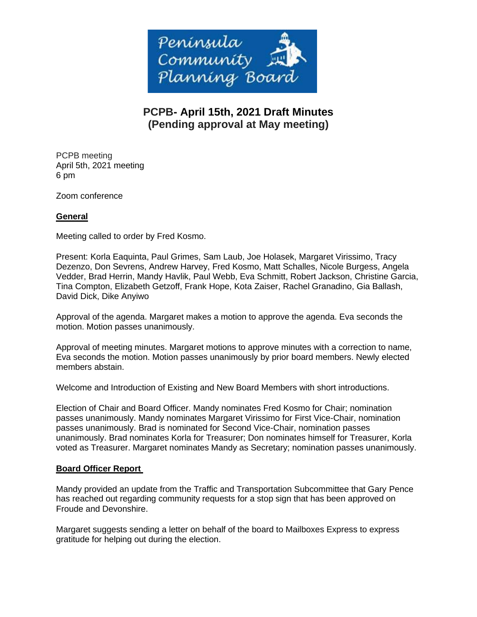

# **PCPB- April 15th, 2021 Draft Minutes (Pending approval at May meeting)**

PCPB meeting April 5th, 2021 meeting 6 pm

Zoom conference

## **General**

Meeting called to order by Fred Kosmo.

Present: Korla Eaquinta, Paul Grimes, Sam Laub, Joe Holasek, Margaret Virissimo, Tracy Dezenzo, Don Sevrens, Andrew Harvey, Fred Kosmo, Matt Schalles, Nicole Burgess, Angela Vedder, Brad Herrin, Mandy Havlik, Paul Webb, Eva Schmitt, Robert Jackson, Christine Garcia, Tina Compton, Elizabeth Getzoff, Frank Hope, Kota Zaiser, Rachel Granadino, Gia Ballash, David Dick, Dike Anyiwo

Approval of the agenda. Margaret makes a motion to approve the agenda. Eva seconds the motion. Motion passes unanimously.

Approval of meeting minutes. Margaret motions to approve minutes with a correction to name, Eva seconds the motion. Motion passes unanimously by prior board members. Newly elected members abstain.

Welcome and Introduction of Existing and New Board Members with short introductions.

Election of Chair and Board Officer. Mandy nominates Fred Kosmo for Chair; nomination passes unanimously. Mandy nominates Margaret Virissimo for First Vice-Chair, nomination passes unanimously. Brad is nominated for Second Vice-Chair, nomination passes unanimously. Brad nominates Korla for Treasurer; Don nominates himself for Treasurer, Korla voted as Treasurer. Margaret nominates Mandy as Secretary; nomination passes unanimously.

## **Board Officer Report**

Mandy provided an update from the Traffic and Transportation Subcommittee that Gary Pence has reached out regarding community requests for a stop sign that has been approved on Froude and Devonshire.

Margaret suggests sending a letter on behalf of the board to Mailboxes Express to express gratitude for helping out during the election.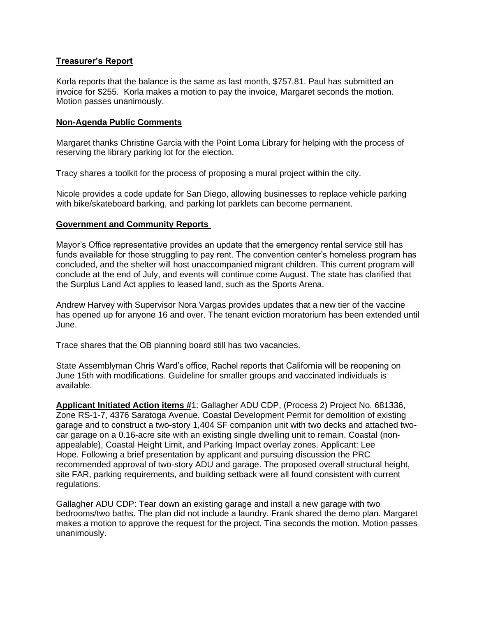#### **Treasurer's Report**

Korla reports that the balance is the same as last month, \$757.81. Paul has submitted an invoice for \$255. Korla makes a motion to pay the invoice, Margaret seconds the motion. Motion passes unanimously.

#### **Non-Agenda Public Comments**

Margaret thanks Christine Garcia with the Point Loma Library for helping with the process of reserving the library parking lot for the election.

Tracy shares a toolkit for the process of proposing a mural project within the city.

Nicole provides a code update for San Diego, allowing businesses to replace vehicle parking with bike/skateboard barking, and parking lot parklets can become permanent.

#### **Government and Community Reports**

Mayor's Office representative provides an update that the emergency rental service still has funds available for those struggling to pay rent. The convention center's homeless program has concluded, and the shelter will host unaccompanied migrant children. This current program will conclude at the end of July, and events will continue come August. The state has clarified that the Surplus Land Act applies to leased land, such as the Sports Arena.

Andrew Harvey with Supervisor Nora Vargas provides updates that a new tier of the vaccine has opened up for anyone 16 and over. The tenant eviction moratorium has been extended until June.

Trace shares that the OB planning board still has two vacancies.

State Assemblyman Chris Ward's office, Rachel reports that California will be reopening on June 15th with modifications. Guideline for smaller groups and vaccinated individuals is available.

**Applicant Initiated Action items #**1: Gallagher ADU CDP, (Process 2) Project No. 681336, Zone RS-1-7, 4376 Saratoga Avenue. Coastal Development Permit for demolition of existing garage and to construct a two-story 1,404 SF companion unit with two decks and attached twocar garage on a 0.16-acre site with an existing single dwelling unit to remain. Coastal (nonappealable), Coastal Height Limit, and Parking Impact overlay zones. Applicant: Lee Hope. Following a brief presentation by applicant and pursuing discussion the PRC recommended approval of two-story ADU and garage. The proposed overall structural height, site FAR, parking requirements, and building setback were all found consistent with current regulations.

Gallagher ADU CDP: Tear down an existing garage and install a new garage with two bedrooms/two baths. The plan did not include a laundry. Frank shared the demo plan. Margaret makes a motion to approve the request for the project. Tina seconds the motion. Motion passes unanimously.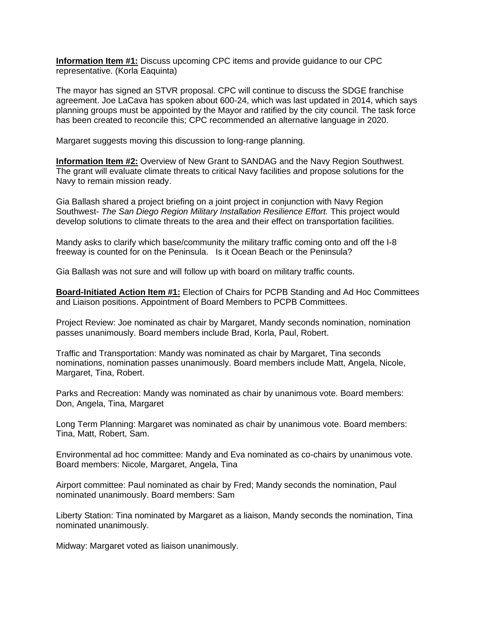**Information Item #1:** Discuss upcoming CPC items and provide guidance to our CPC representative. (Korla Eaquinta)

The mayor has signed an STVR proposal. CPC will continue to discuss the SDGE franchise agreement. Joe LaCava has spoken about 600-24, which was last updated in 2014, which says planning groups must be appointed by the Mayor and ratified by the city council. The task force has been created to reconcile this; CPC recommended an alternative language in 2020.

Margaret suggests moving this discussion to long-range planning.

**Information Item #2:** Overview of New Grant to SANDAG and the Navy Region Southwest. The grant will evaluate climate threats to critical Navy facilities and propose solutions for the Navy to remain mission ready.

Gia Ballash shared a project briefing on a joint project in conjunction with Navy Region Southwest- *The San Diego Region Military Installation Resilience Effort*. This project would develop solutions to climate threats to the area and their effect on transportation facilities.

Mandy asks to clarify which base/community the military traffic coming onto and off the I-8 freeway is counted for on the Peninsula. Is it Ocean Beach or the Peninsula?

Gia Ballash was not sure and will follow up with board on military traffic counts.

**Board-Initiated Action Item #1:** Election of Chairs for PCPB Standing and Ad Hoc Committees and Liaison positions. Appointment of Board Members to PCPB Committees.

Project Review: Joe nominated as chair by Margaret, Mandy seconds nomination, nomination passes unanimously. Board members include Brad, Korla, Paul, Robert.

Traffic and Transportation: Mandy was nominated as chair by Margaret, Tina seconds nominations, nomination passes unanimously. Board members include Matt, Angela, Nicole, Margaret, Tina, Robert.

Parks and Recreation: Mandy was nominated as chair by unanimous vote. Board members: Don, Angela, Tina, Margaret

Long Term Planning: Margaret was nominated as chair by unanimous vote. Board members: Tina, Matt, Robert, Sam.

Environmental ad hoc committee: Mandy and Eva nominated as co-chairs by unanimous vote. Board members: Nicole, Margaret, Angela, Tina

Airport committee: Paul nominated as chair by Fred; Mandy seconds the nomination, Paul nominated unanimously. Board members: Sam

Liberty Station: Tina nominated by Margaret as a liaison, Mandy seconds the nomination, Tina nominated unanimously.

Midway: Margaret voted as liaison unanimously.